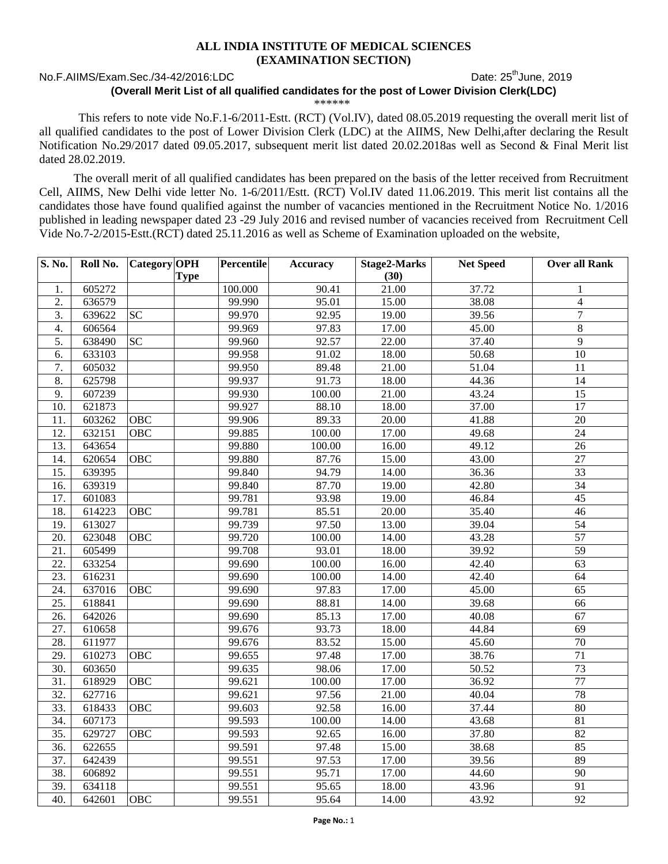## **ALL INDIA INSTITUTE OF MEDICAL SCIENCES (EXAMINATION SECTION)**

## No.F.AIIMS/Exam.Sec./34-42/2016:LDC Date: 25<sup>th</sup>June, 2019

## **(Overall Merit List of all qualified candidates for the post of Lower Division Clerk(LDC)**

\*\*\*\*\*\*

This refers to note vide No.F.1-6/2011-Estt. (RCT) (Vol.IV), dated 08.05.2019 requesting the overall merit list of all qualified candidates to the post of Lower Division Clerk (LDC) at the AIIMS, New Delhi,after declaring the Result Notification No.29/2017 dated 09.05.2017, subsequent merit list dated 20.02.2018as well as Second & Final Merit list dated 28.02.2019.

The overall merit of all qualified candidates has been prepared on the basis of the letter received from Recruitment Cell, AIIMS, New Delhi vide letter No. 1-6/2011/Estt. (RCT) Vol.IV dated 11.06.2019. This merit list contains all the candidates those have found qualified against the number of vacancies mentioned in the Recruitment Notice No. 1/2016 published in leading newspaper dated 23 -29 July 2016 and revised number of vacancies received from Recruitment Cell Vide No.7-2/2015-Estt.(RCT) dated 25.11.2016 as well as Scheme of Examination uploaded on the website,

| S. No.            | Roll No. | Category OPH |             | Percentile | Accuracy | Stage2-Marks | <b>Net Speed</b> | <b>Over all Rank</b> |
|-------------------|----------|--------------|-------------|------------|----------|--------------|------------------|----------------------|
|                   |          |              | <b>Type</b> |            |          | (30)         |                  |                      |
| 1.                | 605272   |              |             | 100.000    | 90.41    | 21.00        | 37.72            | 1                    |
| 2.                | 636579   |              |             | 99.990     | 95.01    | 15.00        | 38.08            | $\overline{4}$       |
| 3.                | 639622   | <b>SC</b>    |             | 99.970     | 92.95    | 19.00        | 39.56            | $\overline{7}$       |
| 4.                | 606564   |              |             | 99.969     | 97.83    | 17.00        | 45.00            | $\,8\,$              |
| 5.                | 638490   | <b>SC</b>    |             | 99.960     | 92.57    | 22.00        | 37.40            | $\overline{9}$       |
| 6.                | 633103   |              |             | 99.958     | 91.02    | 18.00        | 50.68            | $\overline{10}$      |
| $\overline{7}$ .  | 605032   |              |             | 99.950     | 89.48    | 21.00        | 51.04            | 11                   |
| 8.                | 625798   |              |             | 99.937     | 91.73    | 18.00        | 44.36            | $\overline{14}$      |
| 9.                | 607239   |              |             | 99.930     | 100.00   | 21.00        | 43.24            | 15                   |
| 10.               | 621873   |              |             | 99.927     | 88.10    | 18.00        | 37.00            | 17                   |
| 11.               | 603262   | <b>OBC</b>   |             | 99.906     | 89.33    | 20.00        | 41.88            | $\overline{20}$      |
| 12.               | 632151   | <b>OBC</b>   |             | 99.885     | 100.00   | 17.00        | 49.68            | $\overline{24}$      |
| 13.               | 643654   |              |             | 99.880     | 100.00   | 16.00        | 49.12            | 26                   |
| 14.               | 620654   | <b>OBC</b>   |             | 99.880     | 87.76    | 15.00        | 43.00            | 27                   |
| 15.               | 639395   |              |             | 99.840     | 94.79    | 14.00        | 36.36            | $\overline{33}$      |
| 16.               | 639319   |              |             | 99.840     | 87.70    | 19.00        | 42.80            | $\overline{34}$      |
| 17.               | 601083   |              |             | 99.781     | 93.98    | 19.00        | 46.84            | 45                   |
| 18.               | 614223   | OBC          |             | 99.781     | 85.51    | 20.00        | 35.40            | 46                   |
| 19.               | 613027   |              |             | 99.739     | 97.50    | 13.00        | 39.04            | 54                   |
| $\overline{20}$ . | 623048   | <b>OBC</b>   |             | 99.720     | 100.00   | 14.00        | 43.28            | 57                   |
| 21.               | 605499   |              |             | 99.708     | 93.01    | 18.00        | 39.92            | 59                   |
| $\overline{22}$ . | 633254   |              |             | 99.690     | 100.00   | 16.00        | 42.40            | $\overline{63}$      |
| $\overline{23}$ . | 616231   |              |             | 99.690     | 100.00   | 14.00        | 42.40            | 64                   |
| 24.               | 637016   | <b>OBC</b>   |             | 99.690     | 97.83    | 17.00        | 45.00            | 65                   |
| $\overline{25}$ . | 618841   |              |             | 99.690     | 88.81    | 14.00        | 39.68            | 66                   |
| 26.               | 642026   |              |             | 99.690     | 85.13    | 17.00        | 40.08            | 67                   |
| 27.               | 610658   |              |             | 99.676     | 93.73    | 18.00        | 44.84            | $\overline{69}$      |
| 28.               | 611977   |              |             | 99.676     | 83.52    | 15.00        | 45.60            | 70                   |
| 29.               | 610273   | <b>OBC</b>   |             | 99.655     | 97.48    | 17.00        | 38.76            | 71                   |
| $\overline{30}$ . | 603650   |              |             | 99.635     | 98.06    | 17.00        | 50.52            | $\overline{73}$      |
| 31.               | 618929   | <b>OBC</b>   |             | 99.621     | 100.00   | 17.00        | 36.92            | $\overline{77}$      |
| 32.               | 627716   |              |             | 99.621     | 97.56    | 21.00        | 40.04            | 78                   |
| 33.               | 618433   | OBC          |             | 99.603     | 92.58    | 16.00        | 37.44            | 80                   |
| 34.               | 607173   |              |             | 99.593     | 100.00   | 14.00        | 43.68            | 81                   |
| 35.               | 629727   | <b>OBC</b>   |             | 99.593     | 92.65    | 16.00        | 37.80            | 82                   |
| 36.               | 622655   |              |             | 99.591     | 97.48    | 15.00        | 38.68            | 85                   |
| 37.               | 642439   |              |             | 99.551     | 97.53    | 17.00        | 39.56            | 89                   |
| 38.               | 606892   |              |             | 99.551     | 95.71    | 17.00        | 44.60            | 90                   |
| 39.               | 634118   |              |             | 99.551     | 95.65    | 18.00        | 43.96            | $\overline{91}$      |
| 40.               | 642601   | <b>OBC</b>   |             | 99.551     | 95.64    | 14.00        | 43.92            | $\overline{92}$      |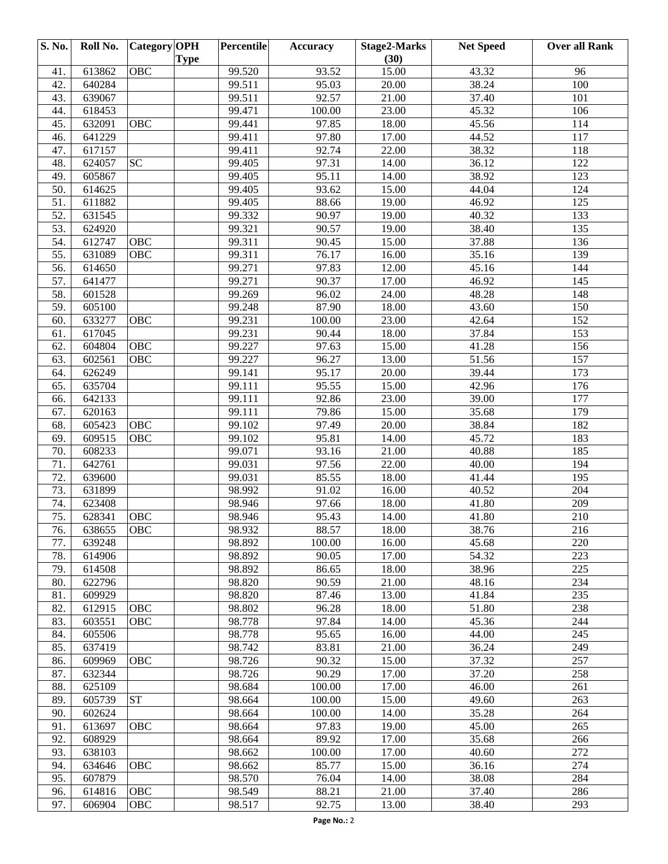| <b>S. No.</b> | Roll No. | Category OPH | <b>Type</b> | Percentile | Accuracy | <b>Stage2-Marks</b><br>(30) | <b>Net Speed</b> | <b>Over all Rank</b> |
|---------------|----------|--------------|-------------|------------|----------|-----------------------------|------------------|----------------------|
| 41.           | 613862   | OBC          |             | 99.520     | 93.52    | 15.00                       | 43.32            | 96                   |
| 42.           | 640284   |              |             | 99.511     | 95.03    | 20.00                       | 38.24            | 100                  |
| 43.           | 639067   |              |             | 99.511     | 92.57    | 21.00                       | 37.40            | 101                  |
| 44.           | 618453   |              |             | 99.471     | 100.00   | 23.00                       | 45.32            | 106                  |
| 45.           | 632091   | OBC          |             | 99.441     | 97.85    | 18.00                       | 45.56            | 114                  |
| 46.           | 641229   |              |             | 99.411     | 97.80    | 17.00                       | 44.52            | 117                  |
| 47.           | 617157   |              |             | 99.411     | 92.74    | 22.00                       | 38.32            | 118                  |
| 48.           | 624057   | <b>SC</b>    |             | 99.405     | 97.31    | 14.00                       | 36.12            | 122                  |
| 49.           | 605867   |              |             | 99.405     | 95.11    | 14.00                       | 38.92            | 123                  |
| 50.           | 614625   |              |             | 99.405     | 93.62    | 15.00                       | 44.04            | 124                  |
| 51.           | 611882   |              |             | 99.405     | 88.66    | 19.00                       | 46.92            | 125                  |
| 52.           | 631545   |              |             | 99.332     | 90.97    | 19.00                       | 40.32            | 133                  |
| 53.           | 624920   |              |             | 99.321     | 90.57    | 19.00                       | 38.40            | 135                  |
| 54.           | 612747   | <b>OBC</b>   |             | 99.311     | 90.45    | 15.00                       | 37.88            | 136                  |
| 55.           | 631089   | OBC          |             | 99.311     | 76.17    | 16.00                       | 35.16            | 139                  |
| 56.           | 614650   |              |             | 99.271     | 97.83    | 12.00                       | 45.16            | 144                  |
| 57.           | 641477   |              |             | 99.271     | 90.37    | 17.00                       | 46.92            | 145                  |
| 58.           | 601528   |              |             | 99.269     | 96.02    | 24.00                       | 48.28            | 148                  |
| 59.           | 605100   |              |             | 99.248     | 87.90    | 18.00                       | 43.60            | 150                  |
| 60.           | 633277   | OBC          |             | 99.231     | 100.00   | 23.00                       | 42.64            | 152                  |
| 61.           | 617045   |              |             | 99.231     | 90.44    | 18.00                       | 37.84            | 153                  |
| 62.           | 604804   | <b>OBC</b>   |             | 99.227     | 97.63    | 15.00                       | 41.28            | 156                  |
| 63.           | 602561   | OBC          |             | 99.227     | 96.27    | 13.00                       | 51.56            | 157                  |
| 64.           | 626249   |              |             | 99.141     | 95.17    | 20.00                       | 39.44            | 173                  |
| 65.           | 635704   |              |             | 99.111     | 95.55    | 15.00                       | 42.96            | 176                  |
| 66.           | 642133   |              |             | 99.111     | 92.86    | 23.00                       | 39.00            | 177                  |
| 67.           | 620163   |              |             | 99.111     | 79.86    | 15.00                       | 35.68            | 179                  |
| 68.           | 605423   | OBC          |             | 99.102     | 97.49    | 20.00                       | 38.84            | 182                  |
| 69.           | 609515   | OBC          |             | 99.102     | 95.81    | 14.00                       | 45.72            | 183                  |
| 70.           | 608233   |              |             | 99.071     | 93.16    | 21.00                       | 40.88            | 185                  |
| 71.           | 642761   |              |             | 99.031     | 97.56    | 22.00                       | 40.00            | 194                  |
| 72.           | 639600   |              |             | 99.031     | 85.55    | 18.00                       | 41.44            | 195                  |
| 73.           | 631899   |              |             | 98.992     | 91.02    | 16.00                       | 40.52            | 204                  |
| 74.           | 623408   |              |             | 98.946     | 97.66    | 18.00                       | 41.80            | 209                  |
| 75.           | 628341   | <b>OBC</b>   |             | 98.946     | 95.43    | 14.00                       | 41.80            | 210                  |
| 76.           | 638655   | <b>OBC</b>   |             | 98.932     | 88.57    | 18.00                       | 38.76            | 216                  |
| 77.           | 639248   |              |             | 98.892     | 100.00   | 16.00                       | 45.68            | 220                  |
| 78.           | 614906   |              |             | 98.892     | 90.05    | 17.00                       | 54.32            | 223                  |
| 79.           | 614508   |              |             | 98.892     | 86.65    | 18.00                       | 38.96            | 225                  |
| 80.           | 622796   |              |             | 98.820     | 90.59    | 21.00                       | 48.16            | 234                  |
| 81.           | 609929   |              |             | 98.820     | 87.46    | 13.00                       | 41.84            | 235                  |
| 82.           | 612915   | OBC          |             | 98.802     | 96.28    | 18.00                       | 51.80            | 238                  |
| 83.           | 603551   | <b>OBC</b>   |             | 98.778     | 97.84    | 14.00                       | 45.36            | 244                  |
| 84.           | 605506   |              |             | 98.778     | 95.65    | 16.00                       | 44.00            | 245                  |
| 85.           | 637419   |              |             | 98.742     | 83.81    | 21.00                       | 36.24            | 249                  |
| 86.           | 609969   | <b>OBC</b>   |             | 98.726     | 90.32    | 15.00                       | 37.32            | 257                  |
| 87.           | 632344   |              |             | 98.726     | 90.29    | 17.00                       | 37.20            | 258                  |
| 88.           | 625109   |              |             | 98.684     | 100.00   | 17.00                       | 46.00            | 261                  |
| 89.           | 605739   | <b>ST</b>    |             | 98.664     | 100.00   | 15.00                       | 49.60            | 263                  |
| 90.           | 602624   |              |             | 98.664     | 100.00   | 14.00                       | 35.28            | 264                  |
| 91.           | 613697   | <b>OBC</b>   |             | 98.664     | 97.83    | 19.00                       | 45.00            | 265                  |
| 92.           | 608929   |              |             | 98.664     | 89.92    | 17.00                       | 35.68            | 266                  |
| 93.           | 638103   |              |             | 98.662     | 100.00   | 17.00                       | 40.60            | 272                  |
| 94.           | 634646   | <b>OBC</b>   |             | 98.662     | 85.77    | 15.00                       | 36.16            | 274                  |
| 95.           | 607879   |              |             | 98.570     | 76.04    | 14.00                       | 38.08            | 284                  |
| 96.           | 614816   | OBC          |             | 98.549     | 88.21    | 21.00                       | 37.40            | 286                  |
| 97.           | 606904   | <b>OBC</b>   |             | 98.517     | 92.75    | 13.00                       | 38.40            | 293                  |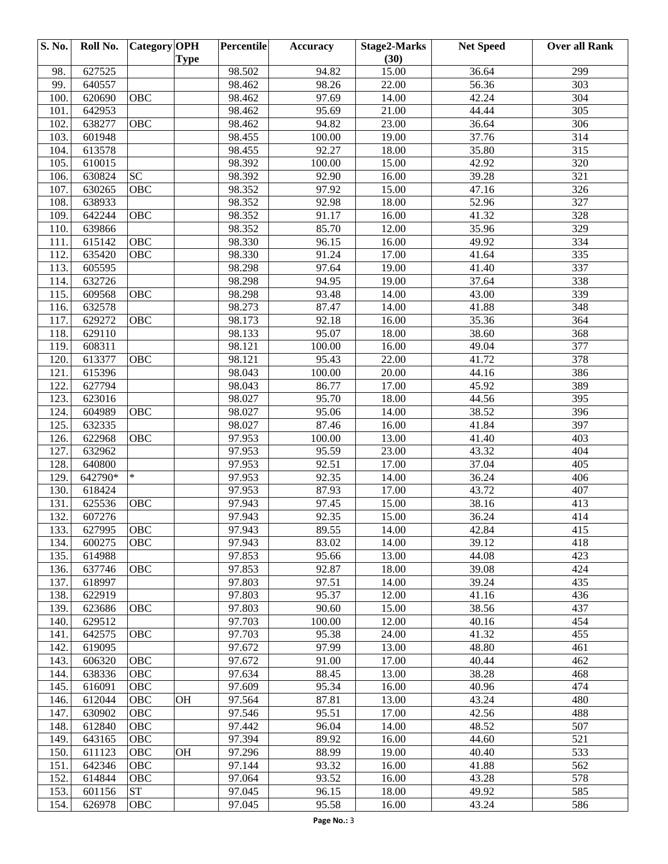| S. No. | Roll No. | Category OPH       | <b>Type</b> | Percentile | <b>Accuracy</b> | <b>Stage2-Marks</b><br>(30) | <b>Net Speed</b> | <b>Over all Rank</b> |
|--------|----------|--------------------|-------------|------------|-----------------|-----------------------------|------------------|----------------------|
| 98.    | 627525   |                    |             | 98.502     | 94.82           | 15.00                       | 36.64            | 299                  |
| 99.    | 640557   |                    |             | 98.462     | 98.26           | 22.00                       | 56.36            | 303                  |
| 100.   | 620690   | OBC                |             | 98.462     | 97.69           | 14.00                       | 42.24            | 304                  |
| 101.   | 642953   |                    |             | 98.462     | 95.69           | 21.00                       | 44.44            | 305                  |
| 102.   | 638277   | <b>OBC</b>         |             | 98.462     | 94.82           | 23.00                       | 36.64            | 306                  |
| 103.   | 601948   |                    |             | 98.455     | 100.00          | 19.00                       | 37.76            | 314                  |
| 104.   | 613578   |                    |             | 98.455     | 92.27           | 18.00                       | 35.80            | 315                  |
| 105.   | 610015   |                    |             | 98.392     | 100.00          | 15.00                       | 42.92            | 320                  |
| 106.   | 630824   | <b>SC</b>          |             | 98.392     | 92.90           | 16.00                       | 39.28            | 321                  |
| 107.   | 630265   | OBC                |             | 98.352     | 97.92           | 15.00                       | 47.16            | 326                  |
| 108.   | 638933   |                    |             | 98.352     | 92.98           | 18.00                       | 52.96            | 327                  |
| 109.   | 642244   | $\overline{O}$ BC  |             | 98.352     | 91.17           | 16.00                       | 41.32            | 328                  |
| 110.   | 639866   |                    |             | 98.352     | 85.70           | 12.00                       | 35.96            | 329                  |
| 111.   | 615142   | $\overline{O}$ BC  |             | 98.330     | 96.15           | 16.00                       | 49.92            | 334                  |
| 112.   | 635420   | OBC                |             | 98.330     | 91.24           | 17.00                       | 41.64            | 335                  |
| 113.   | 605595   |                    |             | 98.298     | 97.64           | 19.00                       | 41.40            | 337                  |
| 114.   | 632726   |                    |             | 98.298     | 94.95           | 19.00                       | 37.64            | 338                  |
| 115.   | 609568   | OBC                |             | 98.298     | 93.48           | 14.00                       | 43.00            | 339                  |
| 116.   | 632578   |                    |             | 98.273     | 87.47           | 14.00                       | 41.88            | 348                  |
| 117.   | 629272   | $\overline{O}$ BC  |             | 98.173     | 92.18           | 16.00                       | 35.36            | 364                  |
| 118.   | 629110   |                    |             | 98.133     | 95.07           | 18.00                       | 38.60            | 368                  |
| 119.   | 608311   |                    |             | 98.121     | 100.00          | 16.00                       | 49.04            | 377                  |
| 120.   | 613377   | <b>OBC</b>         |             | 98.121     | 95.43           | 22.00                       | 41.72            | 378                  |
| 121.   | 615396   |                    |             | 98.043     | 100.00          | 20.00                       | 44.16            | 386                  |
| 122.   | 627794   |                    |             | 98.043     | 86.77           | 17.00                       | 45.92            | 389                  |
| 123.   | 623016   |                    |             | 98.027     | 95.70           | 18.00                       | 44.56            | 395                  |
| 124.   | 604989   | OBC                |             | 98.027     | 95.06           | 14.00                       | 38.52            | 396                  |
| 125.   | 632335   |                    |             | 98.027     | 87.46           | 16.00                       | 41.84            | 397                  |
| 126.   | 622968   | <b>OBC</b>         |             | 97.953     | 100.00          | 13.00                       | 41.40            | 403                  |
| 127.   | 632962   |                    |             | 97.953     | 95.59           | 23.00                       | 43.32            | 404                  |
| 128.   | 640800   |                    |             | 97.953     | 92.51           | 17.00                       | 37.04            | 405                  |
| 129.   | 642790*  | $\ast$             |             | 97.953     | 92.35           | 14.00                       | 36.24            | 406                  |
| 130.   | 618424   |                    |             | 97.953     | 87.93           | 17.00                       | 43.72            | 407                  |
| 131.   | 625536   | OBC                |             | 97.943     | 97.45           | 15.00                       | 38.16            | 413                  |
| 132.   | 607276   |                    |             | 97.943     | 92.35           | 15.00                       | 36.24            | 414                  |
| 133.   | 627995   | <b>OBC</b>         |             | 97.943     | 89.55           | 14.00                       | 42.84            | $\overline{415}$     |
| 134.   | 600275   | <b>OBC</b>         |             | 97.943     | 83.02           | 14.00                       | 39.12            | 418                  |
| 135.   | 614988   |                    |             | 97.853     | 95.66           | 13.00                       | 44.08            | 423                  |
| 136.   | 637746   | OBC                |             | 97.853     | 92.87           | 18.00                       | 39.08            | 424                  |
| 137.   | 618997   |                    |             | 97.803     | 97.51           | 14.00                       | 39.24            | 435                  |
| 138.   | 622919   |                    |             | 97.803     | 95.37           | 12.00                       | 41.16            | 436                  |
| 139.   | 623686   | OBC                |             | 97.803     | 90.60           | 15.00                       | 38.56            | 437                  |
| 140.   | 629512   |                    |             | 97.703     | 100.00          | 12.00                       | 40.16            | 454                  |
| 141.   | 642575   | OBC                |             | 97.703     | 95.38           | 24.00                       | 41.32            | 455                  |
| 142.   | 619095   |                    |             | 97.672     | 97.99           | 13.00                       | 48.80            | 461                  |
| 143.   | 606320   | OBC                |             | 97.672     | 91.00           | 17.00                       | 40.44            | 462                  |
| 144.   | 638336   | OBC                |             | 97.634     | 88.45           | 13.00                       | 38.28            | 468                  |
| 145.   | 616091   | OBC                |             | 97.609     | 95.34           | 16.00                       | 40.96            | 474                  |
| 146.   | 612044   | OBC                | <b>OH</b>   | 97.564     | 87.81           | 13.00                       | 43.24            | 480                  |
| 147.   | 630902   | OBC                |             | 97.546     | 95.51           | 17.00                       | 42.56            | 488                  |
| 148.   | 612840   | OBC                |             | 97.442     | 96.04           | 14.00                       | 48.52            | 507                  |
| 149.   | 643165   | OBC                |             | 97.394     | 89.92           | 16.00                       | 44.60            | 521                  |
| 150.   | 611123   | OBC                | <b>OH</b>   | 97.296     | 88.99           | 19.00                       | 40.40            | 533                  |
| 151.   | 642346   | OBC                |             | 97.144     | 93.32           | 16.00                       | 41.88            | 562                  |
| 152.   | 614844   | OBC                |             | 97.064     | 93.52           | 16.00                       | 43.28            | 578                  |
| 153.   | 601156   | ${\cal S}{\cal T}$ |             | 97.045     | 96.15           | 18.00                       | 49.92            | 585                  |
| 154.   | 626978   | OBC                |             | 97.045     | 95.58           | 16.00                       | 43.24            | 586                  |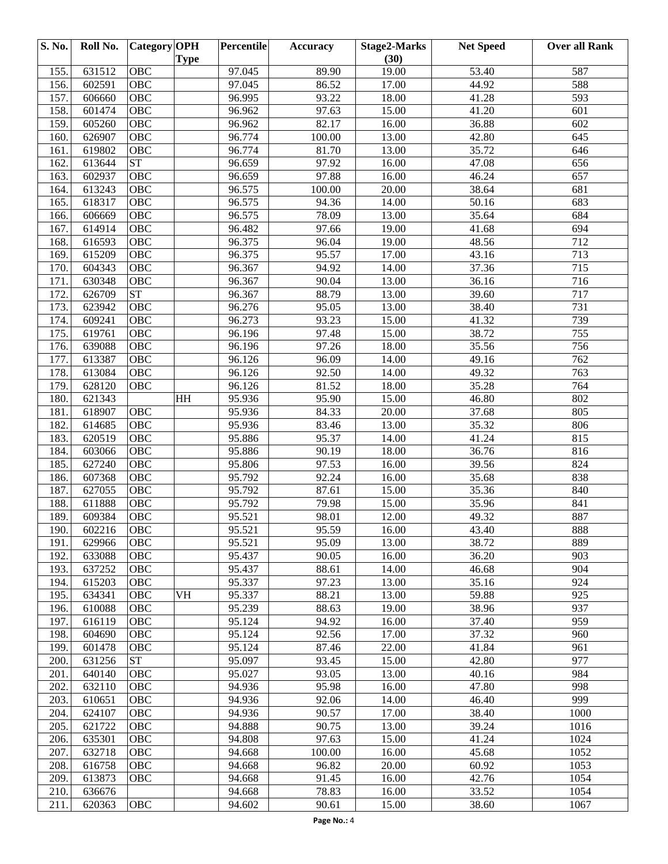| (30)<br><b>Type</b><br>631512<br>OBC<br>97.045<br>53.40<br>155.<br>89.90<br>19.00                                        | 587          |
|--------------------------------------------------------------------------------------------------------------------------|--------------|
|                                                                                                                          |              |
| 602591<br>OBC<br>97.045<br>86.52<br>44.92<br>156.<br>17.00                                                               | 588          |
| 157.<br>606660<br>OBC<br>96.995<br>93.22<br>18.00<br>41.28                                                               | 593          |
| 158.<br>601474<br>OBC<br>96.962<br>97.63<br>15.00<br>41.20                                                               | 601          |
| 605260<br>OBC<br>96.962<br>82.17<br>16.00<br>36.88<br>159.                                                               | 602          |
| 626907<br>OBC<br>96.774<br>100.00<br>13.00<br>42.80<br>160.                                                              | 645          |
| 35.72<br>619802<br>OBC<br>96.774<br>81.70<br>13.00<br>161.                                                               | 646          |
| 162.<br>613644<br>${\cal S}{\cal T}$<br>96.659<br>97.92<br>16.00<br>47.08                                                | 656          |
| 97.88<br>163.<br>602937<br>OBC<br>96.659<br>16.00<br>46.24                                                               | 657          |
| 613243<br>OBC<br>96.575<br>100.00<br>20.00<br>38.64<br>164.                                                              | 681          |
| 165.<br>618317<br>OBC<br>96.575<br>94.36<br>14.00<br>50.16                                                               | 683          |
| 606669<br>OBC<br>96.575<br>78.09<br>13.00<br>35.64<br>166.                                                               | 684          |
| 167.<br>614914<br>OBC<br>96.482<br>97.66<br>19.00<br>41.68                                                               | 694          |
| 168.<br>616593<br>OBC<br>96.375<br>19.00<br>48.56<br>96.04                                                               | 712          |
| 615209<br>OBC<br>96.375<br>95.57<br>17.00<br>43.16<br>169.                                                               | 713          |
| 604343<br>OBC<br>96.367<br>94.92<br>37.36<br>170.<br>14.00                                                               | 715          |
| 630348<br>96.367<br>90.04<br>171.<br>OBC<br>13.00<br>36.16                                                               | 716          |
| ${\cal S}{\cal T}$<br>88.79<br>172.<br>626709<br>96.367<br>13.00<br>39.60                                                | 717          |
| 173.<br>623942<br>OBC<br>96.276<br>13.00<br>95.05<br>38.40                                                               | 731          |
| 609241<br>OBC<br>96.273<br>93.23<br>15.00<br>41.32<br>174.                                                               | 739          |
| 38.72<br>175.<br>619761<br>OBC<br>96.196<br>97.48<br>15.00                                                               | 755          |
| 35.56<br>176.<br>639088<br>OBC<br>96.196<br>97.26<br>18.00                                                               | 756          |
| 613387<br>OBC<br>96.126<br>96.09<br>49.16<br>177.<br>14.00                                                               | 762          |
| 178.<br>613084<br>OBC<br>96.126<br>92.50<br>14.00<br>49.32                                                               | 763          |
| 628120<br>96.126<br>81.52<br>18.00<br>35.28<br>179.<br>OBC                                                               | 764          |
| 180.<br>621343<br>HH<br>95.936<br>95.90<br>15.00<br>46.80                                                                | 802          |
| OBC<br>181.<br>618907<br>95.936<br>84.33<br>20.00<br>37.68                                                               | 805          |
| 182.<br>614685<br>OBC<br>95.936<br>13.00<br>35.32<br>83.46                                                               | 806          |
| 95.886<br>183.<br>620519<br>OBC<br>95.37<br>41.24<br>14.00                                                               | 815          |
| 95.886<br>184.<br>603066<br>OBC<br>90.19<br>18.00<br>36.76                                                               | 816          |
| 185.<br>627240<br>OBC<br>95.806<br>97.53<br>16.00<br>39.56                                                               | 824          |
| 186.<br>607368<br>OBC<br>95.792<br>92.24<br>35.68<br>16.00                                                               | 838          |
| 187.<br>627055<br>OBC<br>95.792<br>87.61<br>15.00<br>35.36                                                               | 840          |
| 188.<br>611888<br>OBC<br>95.792<br>15.00<br>35.96<br>79.98                                                               | 841          |
| 189.<br>609384<br>95.521<br>98.01<br>OBC<br>12.00<br>49.32                                                               | 887          |
| 190.<br>602216<br><b>OBC</b><br>95.521<br>95.59<br>16.00<br>43.40                                                        | 888          |
| 38.72<br>191.<br>OBC<br>95.521<br>95.09<br>13.00<br>629966                                                               | 889          |
| 36.20<br>192.<br>633088<br>OBC<br>95.437<br>90.05<br>16.00                                                               | 903          |
| 637252<br>88.61<br>193.<br>OBC<br>95.437<br>14.00<br>46.68                                                               | 904          |
| 194.<br>615203<br>OBC<br>95.337<br>97.23<br>13.00<br>35.16                                                               | 924          |
| 195.<br>634341<br>VH<br>95.337<br>88.21<br>59.88<br>OBC<br>13.00                                                         | 925          |
| 95.239<br>196.<br>610088<br>OBC<br>88.63<br>19.00<br>38.96                                                               | 937          |
| 95.124<br>197.<br>616119<br>OBC<br>94.92<br>16.00<br>37.40                                                               | 959          |
| 198.<br>95.124<br>37.32<br>604690<br>OBC<br>92.56<br>17.00                                                               | 960          |
| 95.124<br>41.84<br>199.<br>601478<br>OBC<br>87.46<br>22.00                                                               | 961          |
| <b>ST</b><br>200.<br>631256<br>95.097<br>93.45<br>15.00<br>42.80                                                         | 977          |
| 95.027<br>201.<br>640140<br>OBC<br>93.05<br>13.00<br>40.16                                                               | 984          |
| 202.<br>47.80<br>632110<br>OBC<br>94.936<br>95.98<br>16.00                                                               | 998          |
| 203.<br>610651<br>OBC<br>94.936<br>92.06<br>14.00<br>46.40                                                               | 999          |
| 90.57<br>38.40<br>204.<br>624107<br>OBC<br>94.936<br>17.00                                                               | 1000         |
| 205.<br>94.888<br>39.24<br>621722<br>OBC<br>90.75<br>13.00                                                               | 1016         |
| 635301<br>41.24<br>206.<br>OBC<br>94.808<br>97.63<br>15.00<br>207.<br>45.68                                              | 1024<br>1052 |
| 632718<br>OBC<br>94.668<br>100.00<br>16.00                                                                               |              |
| 208.<br>616758<br>OBC<br>94.668<br>96.82<br>20.00<br>60.92<br>613873<br>209.<br>OBC<br>94.668<br>91.45<br>16.00<br>42.76 | 1053<br>1054 |
| 78.83<br>33.52<br>210.<br>636676<br>94.668<br>16.00                                                                      | 1054         |
| 211.<br>620363<br>OBC<br>94.602<br>90.61<br>15.00<br>38.60                                                               | 1067         |